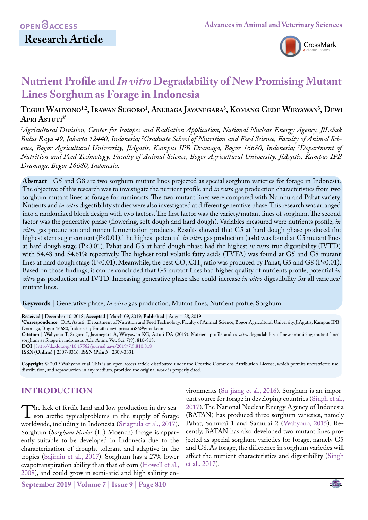

# **Nutrient Profile and** *In vitro* **Degradability of New Promising Mutant Lines Sorghum as Forage in Indonesia**

## $T$ eguh Wahyono<sup>1,2</sup>, Irawan Sugoro<sup>1</sup>, Anuraga Jayanegara<sup>3</sup>, Komang Gede Wiryawan<sup>3</sup>, De **Apri Astuti3\***

*1 Agricultural Division, Center for Isotopes and Radiation Application, National Nuclear Energy Agency, JlLebak*  Bulus Raya 49, Jakarta 12440, Indonesia; <sup>2</sup>Graduate School of Nutrition and Feed Science, Faculty of Animal Sci*ence, Bogor Agricultural University, JlAgatis, Kampus IPB Dramaga, Bogor 16680, Indonesia; 3 Department of Nutrition and Feed Technology, Faculty of Animal Science, Bogor Agricultural University, JlAgatis, Kampus IPB Dramaga, Bogor 16680, Indonesia.*

**Abstract** | G5 and G8 are two sorghum mutant lines projected as special sorghum varieties for forage in Indonesia. The objective of this research was to investigate the nutrient profile and *in vitro* gas production characteristics from two sorghum mutant lines as forage for ruminants. The two mutant lines were compared with Numbu and Pahat variety. Nutients and *in vitro* digestibility studies were also investigated at different generative phase. This research was arranged into a randomized block design with two factors. The first factor was the variety/mutant lines of sorghum. The second factor was the generative phase (flowering, soft dough and hard dough). Variables measured were nutrients profile, *in vitro* gas production and rumen fermentation products. Results showed that G5 at hard dough phase produced the highest stem sugar content (P<0.01). The highest potential *in vitro* gas production (a+b) was found at G5 mutant lines at hard dough stage (P<0.01). Pahat and G5 at hard dough phase had the highest *in vitro* true digestibility (IVTD) with 54.48 and 54.61% repectively. The highest total volatile fatty acids (TVFA) was found at G5 and G8 mutant lines at hard dough stage (P<0.01). Meanwhile, the best  $CO_2$ :CH<sub>4</sub> ratio was produced by Pahat, G5 and G8 (P<0.01). Based on those findings, it can be concluded that G5 mutant lines had higher quality of nutrients profile, potential *in vitro* gas production and IVTD. Increasing generative phase also could increase *in vitro* digestibility for all varieties/ mutant lines.

**Keywords** | Generative phase, *In vitro* gas production, Mutant lines, Nutrient profile, Sorghum

**Received** | December 10, 2018; **Accepted** | March 09, 2019; **Published** | August 28, 2019

**\*Correspondence** | D.A. Astuti, Department of Nutrition and Feed Technology, Faculty of Animal Science, Bogor Agricultural University, JlAgatis, Kampus IPB Dramaga, Bogor 16680, Indonesia; **Email**: dewiapriastuti86@gmail.com

**Citation** | Wahyono T, Sugoro I, Jayanegara A, Wiryawan KG, Astuti DA (2019). Nutrient profile and *in vitro* degradability of new promising mutant lines sorghum as forage in indonesia. Adv. Anim. Vet. Sci. 7(9): 810-818.

**DOI** | [http://dx.doi.org/10.17582/journal.aavs/2019](http://dx.doi.org/10.17582/journal.aavs/2019/7.9.810.818
)/7.9.810.818

**ISSN (Online)** | 2307-8316; **ISSN (Print)** | 2309-3331

**Copyright** © 2019 Wahyono et al. This is an open access article distributed under the Creative Commons Attribution License, which permits unrestricted use, distribution, and reproduction in any medium, provided the original work is properly cited.

## **INTRODUCTION**

The lack of fertile land and low production in dry sea-<br>son arethe typicalproblems in the supply of forage<br>worldwide including in Indonesia (Sriagtula et al. 2017) worldwide, including in Indonesia (Sriagtula et al., 2017). Sorghum (*Sorghum bicolor* (L.) Moench) forage is apparently suitable to be developed in Indonesia due to the characterization of drought tolerant and adaptive in the tropics [\(Sajimin et al., 2017](#page-8-1)). Sorghum has a 27% lower evapotranspiration ability than that of corn ([Howell et al.,](#page-7-0)  [2008](#page-7-0)), and could grow in semi-arid and high salinity en-

vironments [\(Su-jiang et al., 2016\)](#page-8-2). Sorghum is an important source for forage in developing countries ([Singh et al.,](#page-8-3) [2017\)](#page-8-3). The National Nuclear Energy Agency of Indonesia (BATAN) has produced three sorghum varieties, namely Pahat, Samurai 1 and Samurai 2 ([Wahyono, 2015\)](#page-8-4). Recently, BATAN has also developed two mutant lines projected as special sorghum varieties for forage, namely G5 and G8. As forage, the difference in sorghum varieties will affect the nutrient characteristics and digestibility [\(Singh](#page-8-3) [et al., 2017\)](#page-8-3).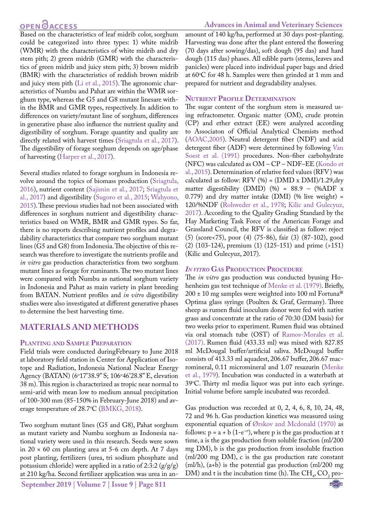## **OPEN**<sub>d</sub>

Based on the characteristics of leaf midrib color, sorghum could be categorized into three types: 1) white midrib (WMR) with the characteristics of white midrib and dry stem pith; 2) green midrib (GMR) with the characteristics of green midrib and juicy stem pith; 3) brown midrib (BMR) with the characteristics of reddish brown midrib and juicy stem pith ([Li et al., 2015](#page-7-1)). The agronomic characteristics of Numbu and Pahat are within the WMR sorghum type, whereas the G5 and G8 mutant linesare within the BMR and GMR types, respectively. In addition to differences on variety/mutant line of sorghum, differences in generative phase also influence the nutrient quality and digestibility of sorghum. Forage quantity and quality are directly related with harvest times ([Sriagtula et al., 2017\)](#page-8-0). The digestibility of forage sorghum depends on age/phase of harvesting [\(Harper et al., 2017](#page-7-2)).

Several studies related to forage sorghum in Indonesia revolve around the topics of biomass production ([Sriagtula,](#page-8-5) [2016](#page-8-5)), nutrient content ([Sajimin et al., 2017](#page-8-1); [Sriagtula et](#page-8-0) [al., 2017](#page-8-0)) and digestibility ([Sugoro et al., 2015;](#page-8-6) [Wahyono,](#page-8-4) [2015](#page-8-4)). These previous studies had not been associated with differences in sorghum nutrient and digestibility characteristics based on WMR, BMR and GMR types. So far, there is no reports describing nutrient profiles and degradability characteristics that compare two sorghum mutant lines (G5 and G8) from Indonesia. The objective of this research was therefore to investigate the nutrients profile and *in vitro* gas production characteristics from two sorghum mutant lines as forage for ruminants. The two mutant lines were compared with Numbu as national sorghum variety in Indonesia and Pahat as main variety in plant breeding from BATAN. Nutrient profiles and *in vitro* digestibility studies were also investigated at different generative phases to determine the best harvesting time.

## **MATERIALS AND METHODS**

#### **Planting and Sample Preparation**

Field trials were conducted duringFebruary to June 2018 at laboratory field station in Center for Application of Isotope and Radiation, Indonesia National Nuclear Energy Agency (BATAN) (6°17'38.9" S; 106°46'28.8" E, elevation 38 m). This region is characterized as tropic near normal to semi-arid with mean low to medium annual precipitation of 100-300 mm (85-150% in February-June 2018) and av-erage temperature of 28.7°C [\(BMKG, 2018](#page-7-3)).

Two sorghum mutant lines (G5 and G8), Pahat sorghum as mutant variety and Numbu sorghum as Indonesia national variety were used in this research. Seeds were sown in  $20 \times 60$  cm planting area at 5-6 cm depth. At 7 days post planting, fertilizers (urea, tri sodium phosphate and potassium chloride) were applied in a ratio of 2:3:2  $(g/g/g)$ at 210 kg/ha. Second fertilizer application was urea in an-

**September 2019 | Volume 7 | Issue 9 | Page 811**

amount of 140 kg/ha, performed at 30 days post-planting. Harvesting was done after the plant entered the flowering (70 days after sowing/das), soft dough (95 das) and hard dough (115 das) phases. All edible parts (stems, leaves and panicles) were placed into individual paper bags and dried at 60°C for 48 h. Samples were then grinded at 1 mm and prepared for nutrient and degradability analyses.

#### **Nutrient Profile Determination**

The sugar content of the sorghum stem is measured using refractometer. Organic matter (OM), crude protein (CP) and ether extract (EE) were analyzed according to Associaton of Official Analytical Chemists method [\(AOAC,2005](#page-7-4)). Neutral detergent fiber (NDF) and acid detergent fiber (ADF) were determined by following [Van](#page-8-7)  [Soest et al. \(1991\)](#page-8-7) procedures. Non-fiber carbohydrate (NFC) was calculated as OM – CP – NDF–EE ([Kondo et](#page-7-5)  [al., 2015](#page-7-5)). Determination of relative feed values (RFV) was calculated as follow: RFV  $(\% )$  = (DMD x DMI)/1.29,dry matter digestibility (DMD) (%) =  $88.9 -$  (%ADF x 0.779) and dry matter intake (DMI) (% live weight) = 120/%NDF [\(Rohweder et al., 1978](#page-8-8); [Kilic and Gulecyuz,](#page-7-6)  [2017\)](#page-7-6). According to the Quality Grading Standard by the Hay Marketing Task Force of the American Forage and Grassland Council, the RFV is classified as follow: reject (5) (score<75), poor (4) (75-86), fair (3) (87-102), good (2) (103-124), premium (1) (125-151) and prime (>151) (Kilic and Gulecyuz, 2017).

#### *In vitro* **Gas Production Procedure**

The *in vitro* gas production was conducted byusing Hohenheim gas test technique of [Menke et al. \(1979\)](#page-7-7). Briefly, 200 ± 10 mg samples were weighted into 100 ml Fortuna® Optima glass syringe (Poulten & Graf, Germany). Three sheep as rumen fluid inoculum donor were fed with native grass and concentrate at the ratio of 70:30 (DM basis) for two weeks prior to experiment. Rumen fluid was obtained via oral stomach tube (OST) of Ramos-Morales et al. (2017). Rumen fluid (433.33 ml) was mixed with 827.85 ml McDougal buffer/artificial saliva. McDougal buffer consists of 413.33 ml aquadest, 206.67 buffer, 206.67 macromineral, 0.11 micromineral and 1.07 resazurin [\(Menke](#page-7-7)  [et al., 1979](#page-7-7)). Incubation was conducted in a waterbath at 39°C. Thirty ml media liquor was put into each syringe. Initial volume before sample incubated was recorded.

Gas production was recorded at 0, 2, 4, 6, 8, 10, 24, 48, 72 and 96 h. Gas production kinetics was measured using exponential equation of [Ørskov and Mcdonald \(1970\)](#page-7-8) as follows:  $p = a + b$  (1-e<sup>-ct</sup>), where p is the gas production at t time, a is the gas production from soluble fraction (ml/200 mg DM), b is the gas production from insoluble fraction (ml/200 mg DM), c is the gas production rate constant (ml/h), (a+b) is the potential gas production (ml/200 mg DM) and t is the incubation time (h). The  $CH_4$ ,  $CO_2$  pro-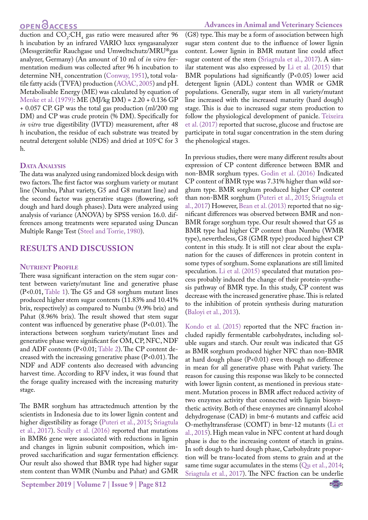# **OPEN**OACCESS

#### **Advances in Animal and Veterinary Sciences**

duction and  $CO_2$ :CH<sub>4</sub> gas ratio were measured after 96 h incubation by an infrared VARIO luxx syngasanalyzer (Messgerätefür Rauchgase und Umweltschutz/MRU®gas analyzer, Germany) (An amount of 10 ml of *in vitro* fermentation medium was collected after 96 h incubation to determine  $NH<sub>3</sub>$  concentration ([Conway, 1951](#page-7-9)), total volatile fatty acids (TVFA) production [\(AOAC, 2005\)](#page-7-4) and pH. Metabolisable Energy (ME) was calculated by equation of [Menke et al. \(1979\):](#page-7-7) ME (MJ/kg DM) = 2.20 + 0.136 GP + 0.057 CP. GP was the total gas production (ml/200 mg DM) and CP was crude protein (% DM). Specifically for *in vitro* true digestibility (IVTD) measurement, after 48 h incubation, the residue of each substrate was treated by neutral detergent soluble (NDS) and dried at  $105^{\circ}$ C for 3 h.

#### **Data Analysis**

The data was analyzed using randomized block design with two factors. The first factor was sorghum variety or mutant line (Numbu, Pahat variety, G5 and G8 mutant line) and the second factor was generative stages (flowering, soft dough and hard dough phases). Data were analyzed using analysis of variance (ANOVA) by SPSS version 16.0. differences among treatments were separated using Duncan Multiple Range Test ([Steel and Torrie, 1980](#page-8-9)).

## **RESULTS AND DISCUSSION**

#### **Nutrient Profile**

There wasa significant interaction on the stem sugar content between variety/mutant line and generative phase (P<0.01, [Table 1\)](#page-4-0). The G5 and G8 sorghum mutant lines produced higher stem sugar contents (11.83% and 10.41% brix, respectively) as compared to Numbu (9.9% brix) and Pahat (8.96% brix). The result showed that stem sugar content was influenced by generative phase  $(P<0.01)$ . The interactions between sorghum variety/mutant lines and generative phase were significant for OM, CP, NFC, NDF and ADF contents (P<0.01; [Table 2\)](#page-4-1). The CP content decreased with the increasing generative phase (P<0.01). The NDF and ADF contents also decreased with advancing harvest time. According to RFV index, it was found that the forage quality increased with the increasing maturity stage.

The BMR sorghum has attractedmuch attention by the scientists in Indonesia due to its lower lignin content and higher digestibility as forage [\(Puteri et al., 2015](#page-7-10); [Sriagtula](#page-8-0) [et al., 2017\)](#page-8-0). [Scully et al. \(2016\)](#page-8-10) reported that mutations in BMR6 gene were associated with reductions in lignin and changes in lignin subunit composition, which improved saccharification and sugar fermentation efficiency. Our result also showed that BMR type had higher sugar stem content than WMR (Numbu and Pahat) and GMR

**September 2019 | Volume 7 | Issue 9 | Page 812**

(G8) type. This may be a form of association between high sugar stem content due to the influence of lower lignin content. Lower lignin in BMR mutant line could affect sugar content of the stem ([Sriagtula et al., 2017](#page-8-0)). A similar statement was also expressed by [Li et al. \(2015\)](#page-7-1) that BMR populations had significantly  $(P<0.05)$  lower acid detergent lignin (ADL) content than WMR or GMR populations. Generally, sugar stem in all variety/mutant line increased with the increased maturity (hard dough) stage. This is due to increased sugar stem production to follow the physiological development of panicle. Teixeira et al. (2017) reported that sucrose, glucose and fructose are participate in total sugar concentration in the stem during the phenological stages.

In previous studies, there were many different results about expression of CP content difference between BMR and non-BMR sorghum types[. Godin et al. \(2016\) I](#page-7-11)ndicated CP content of BMR type was 7.31% higher than wild sorghum type. BMR sorghum produced higher CP content than non-BMR sorghum [\(Puteri et al., 2015;](#page-7-10) [Sriagtula et](#page-8-0)  [al., 2017](#page-8-0)) However, [Bean et al. \(2013\)](#page-7-12) reported that no significant differences was observed between BMR and non-BMR forage sorghum type. Our result showed that G5 as BMR type had higher CP content than Numbu (WMR type), nevertheless, G8 (GMR type) produced highest CP content in this study. It is still not clear about the explanation for the causes of differences in protein content in some types of sorghum. Some explanations are still limited speculation. [Li et al. \(2015\)](#page-7-1) speculated that mutation process probably induced the change of their protein-synthesis pathway of BMR type. In this study, CP content was decrease with the increased generative phase. This is related to the inhibition of protein synthesis during maturation [\(Baloyi et al., 2013](#page-7-13)).

[Kondo et al. \(2015\)](#page-7-5) reported that the NFC fraction included rapidly fermentable carbohydrates, including soluble sugars and starch. Our result was indicated that G5 as BMR sorghum produced higher NFC than non-BMR at hard dough phase (P<0.01) even though no difference in mean for all generative phase with Pahat variety. The reason for causing this response was likely to be connected with lower lignin content, as mentioned in previous statement. Mutation process in BMR affect reduced activity of two enzymes activity that connected with lignin biosynthetic activity. Both of these enzymes are cinnamyl alcohol dehydrogenase (CAD) in bmr-6 mutants and caffeic acid O-methyltransferase (COMT) in bmr-12 mutants ([Li et](#page-7-1)  [al., 2015](#page-7-1)). High mean value in NFC content at hard dough phase is due to the increasing content of starch in grains. In soft dough to hard dough phase, Carbohydrate proportion will be trans-located from stems to grain and at the same time sugar accumulates in the stems ([Qu et al., 2014](#page-7-14); [Sriagtula et al., 2017\)](#page-8-0). The NFC fraction can be underlie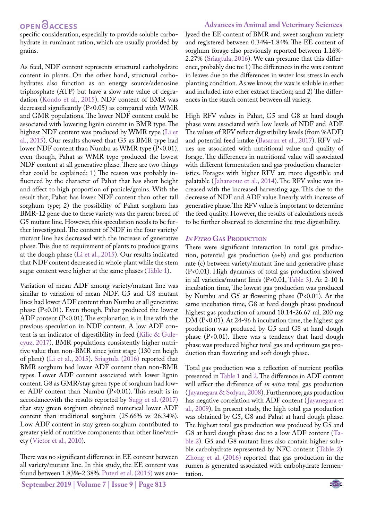# **OPEN**OACCESS

specific consideration, especially to provide soluble carbohydrate in ruminant ration, which are usually provided by grains.

As feed, NDF content represents structural carbohydrate content in plants. On the other hand, structural carbohydrates also function as an energy source/adenosine triphosphate (ATP) but have a slow rate value of degradation [\(Kondo et al., 2015\)](#page-7-5). NDF content of BMR was decreased significantly (P<0.05) as compared with WMR and GMR populations. The lower NDF content could be associated with lowering lignin content in BMR type. The highest NDF content was produced by WMR type ([Li et](#page-7-1) [al., 2015](#page-7-1)). Our results showed that G5 as BMR type had lower NDF content than Numbu as WMR type (P<0.01). even though, Pahat as WMR type produced the lowest NDF content at all generative phase. There are two things that could be explained: 1) The reason was probably influenced by the character of Pahat that has short height and affect to high proportion of panicle/grains. With the result that, Pahat has lower NDF content than other tall sorghum type; 2) the possibility of Pahat sorghum has BMR-12 gene due to these variety was the parent breed of G5 mutant line. However, this speculation needs to be further investigated. The content of NDF in the four variety/ mutant line has decreased with the increase of generative phase. This due to requirement of plants to produce grains at the dough phase ([Li et al., 2015\)](#page-7-1). Our results indicated that NDF content decreased in whole plant while the stem sugar content were higher at the same phases ([Table 1](#page-4-0)).

Variation of mean ADF among variety/mutant line was similar to variation of mean NDF. G5 and G8 mutant lines had lower ADF content than Numbu at all generative phase (P<0.01). Even though, Pahat produced the lowest ADF content (P<0.01). The explanation is in line with the previous speculation in NDF content. A low ADF content is an indicator of digestibility in feed ([Kilic & Gule](#page-7-6)[cyuz, 2017](#page-7-6)). BMR populations consistently higher nutritive value than non-BMR since joint stage (130 cm heigh of plant) ([Li et al., 2015](#page-7-1)). [Sriagtula \(2016\)](#page-8-5) reported that BMR sorghum had lower ADF content than non-BMR types. Lower ADF content associated with lower lignin content. G8 as GMR/stay green type of sorghum had lower ADF content than Numbu (P<0.01). This result is in accordancewith the results reported by [Sugg et al. \(2017\)](#page-8-11) that stay green sorghum obtained numerical lower ADF content than traditional sorghum (25.66% vs 26.34%). Low ADF content in stay green sorghum contributed to greater yield of nutritive components than other line/variety ([Vietor et al., 2010](#page-8-12)).

There was no significant difference in EE content between all variety/mutant line. In this study, the EE content was found between 1.83%-2.38%. [Puteri et al. \(2015\)](#page-7-10) was ana-

#### **Advances in Animal and Veterinary Sciences**

lyzed the EE content of BMR and sweet sorghum variety and registered between 0.34%-1.84%. The EE content of sorghum forage also previously reported between 1.16%- 2.27% ([Sriagtula, 2016](#page-8-5)). We can presume that this difference, probably due to: 1) The differences in the wax content in leaves due to the differences in water loss stress in each planting condition. As we know, the wax is soluble in ether and included into ether extract fraction; and 2) The differences in the starch content between all variety.

High RFV values in Pahat, G5 and G8 at hard dough phase were associated with low levels of NDF and ADF. The values of RFV reflect digestibility levels (from %ADF) and potential feed intake ([Basaran et al., 2017\)](#page-7-15). RFV values are associated with nutritional value and quality of forage. The differences in nutritional value will associated with different fermentation and gas production characteristics. Forages with higher RFV are more digestible and palatable ([Jahansouz et al., 2014](#page-7-16)). The RFV value was increased with the increased harvesting age. This due to the decrease of NDF and ADF value linearly with increase of generative phase. The RFV value is important to determine the feed quality. However, the results of calculations needs to be further observed to determine the true digestibility.

#### *In Vitro* **Gas Production**

There were significant interaction in total gas production, potential gas production (a+b) and gas production rate (c) between variety/mutant line and generative phase (P<0.01). High dynamics of total gas production showed in all varieties/mutant lines (P<0.01, [Table 3](#page-6-0)). At 2-10 h incubation time, The lowest gas production was produced by Numbu and G5 at flowering phase (P<0.01). At the same incubation time, G8 at hard dough phase produced highest gas production of around 10.14-26.67 ml. 200 mg DM (P<0.01). At 24-96 h incubation time, the highest gas production was produced by G5 and G8 at hard dough phase  $(P<0.01)$ . There was a tendency that hard dough phase was produced higher total gas and optimum gas production than flowering and soft dough phase.

Total gas production was a reflection of nutrient profiles presented in [Table 1](#page-4-0) and [2.](#page-4-1) The difference in ADF content will affect the difference of *in vitro* total gas production ([Jayanegara & Sofyan, 2008\)](#page-7-17). Furthermore, gas production has negative correlation with ADF content ([Jayanegara et](#page-7-18)  [al., 2009](#page-7-18)). In present study, the high total gas production was obtained by G5, G8 and Pahat at hard dough phase. The highest total gas production was produced by G5 and G8 at hard dough phase due to a low ADF content ([Ta](#page-4-1)[ble 2](#page-4-1)). G5 and G8 mutant lines also contain higher soluble carbohydrate represented by NFC content ([Table 2](#page-4-1)). [Zhong et al. \(2016\)](#page-8-13) reported that gas production in the rumen is generated associated with carbohydrate fermentation.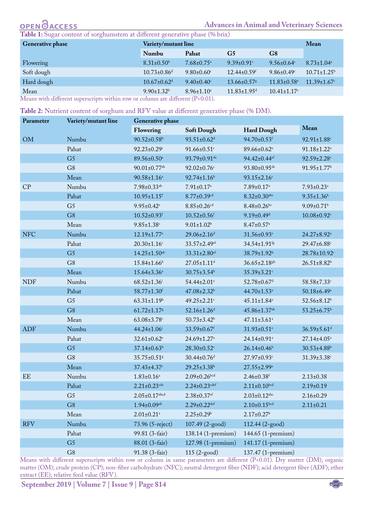# **OPEN OACCESS**

#### **Advances in Animal and Veterinary Sciences**

<span id="page-4-0"></span>**Table 1:** Sugar content of sorghumstem at different generative phase (% brix)

| <b>Generative phase</b> | <b>Variety/mutant line</b>    | Mean                         |                               |                               |                               |
|-------------------------|-------------------------------|------------------------------|-------------------------------|-------------------------------|-------------------------------|
|                         | Numbu                         | Pahat                        | G <sub>5</sub>                | G <sub>8</sub>                |                               |
| Flowering               | $8.31 \pm 0.50$ <sup>b</sup>  | $7.68 \pm 0.75$ <sup>a</sup> | $9.39 \pm 0.91$ <sup>c</sup>  | $9.56 \pm 0.64$               | $8.73 \pm 1.04$ <sup>a</sup>  |
| Soft dough              | $10.73 \pm 0.86$ <sup>d</sup> | $9.80 \pm 0.60$ <sup>c</sup> | $12.44 \pm 0.59$ <sup>f</sup> | $9.86 \pm 0.49$ <sup>c</sup>  | $10.71 \pm 1.25$ <sup>b</sup> |
| Hard dough              | $10.67 \pm 0.62$ <sup>d</sup> | $9.40 \pm 0.40$ <sup>c</sup> | $13.66 \pm 0.57$ s            | $11.83 \pm 0.58$ <sup>e</sup> | $11.39 \pm 1.67$ <sup>c</sup> |
| Mean<br>__<br>.<br>.    | $9.90 \pm 1.32^b$             | $8.96 \pm 1.10^a$            | $11.83 \pm 1.95$ <sup>d</sup> | $10.41 \pm 1.17$ <sup>c</sup> |                               |

Means with different superscripts within row or column are different (P<0.01).

<span id="page-4-1"></span>**Table 2:** Nutrient content of sorghum and RFV value at different generative phase (% DM).

| Parameter  | Variety/mutant line | <b>Generative phase</b>        |                               |                               |                               |
|------------|---------------------|--------------------------------|-------------------------------|-------------------------------|-------------------------------|
|            |                     | Flowering<br><b>Soft Dough</b> |                               | <b>Hard Dough</b>             | Mean                          |
| OM         | Numbu               | $90.52 \pm 0.58$ <sup>b</sup>  | $93.51 \pm 0.62$ <sup>d</sup> | 94.70±0.53f                   | 92.91±1.88c                   |
|            | Pahat               | $92.23 \pm 0.29$ <sup>c</sup>  | $91.66 \pm 0.51$ <sup>c</sup> | 89.66±0.62 <sup>a</sup>       | $91.18 \pm 1.22^a$            |
|            | G <sub>5</sub>      | 89.56±0.50 <sup>a</sup>        | 93.79±0.91 <sup>de</sup>      | 94.42±0.44 <sup>ef</sup>      | $92.59 \pm 2.28$ c            |
|            | G <sub>8</sub>      | $90.01 \pm 0.77$ <sup>ab</sup> | $92.02 \pm 0.76$ c            | 93.80±0.95 <sup>de</sup>      | 91.95±1.77 <sup>b</sup>       |
|            | Mean                | $90.58 \pm 1.16^a$             | $92.74 \pm 1.16^b$            | $93.15 \pm 2.16$ c            |                               |
| CP         | Numbu               | $7.98 \pm 0.33$ <sup>ab</sup>  | $7.91 \pm 0.17$ <sup>a</sup>  | $7.89 \pm 0.17$ <sup>a</sup>  | $7.93 \pm 0.23$ <sup>a</sup>  |
|            | Pahat               | $10.95 \pm 1.15$ <sup>f</sup>  | $8.77 \pm 0.39$ cd            | $8.32 \pm 0.30$ abc           | $9.35 \pm 1.36$ <sup>b</sup>  |
|            | G <sub>5</sub>      | $9.95 \pm 0.42$ <sup>e</sup>   | $8.85 \pm 0.26$ cd            | $8.48 \pm 0.26$ bc            | $9.09 \pm 0.71$ <sup>b</sup>  |
|            | G <sub>8</sub>      | $10.52 \pm 0.93$ <sup>f</sup>  | $10.52 \pm 0.56$ f            | $9.19 \pm 0.49$ <sup>d</sup>  | $10.08 \pm 0.92$ <sup>c</sup> |
|            | Mean                | $9.85 \pm 1.38$ c              | $9.01 \pm 1.02$ <sup>b</sup>  | $8.47 \pm 0.57$ <sup>a</sup>  |                               |
| <b>NFC</b> | Numbu               | $12.19 \pm 1.77$ <sup>a</sup>  | 29.06±2.16 <sup>d</sup>       | 31.56±0.93 <sup>e</sup>       | 24.27±8.92 <sup>a</sup>       |
|            | Pahat               | $20.30 \pm 1.16$ c             | 33.57±2.49 <sup>ef</sup>      | 34.54±1.91 <sup>fg</sup>      | 29.47±6.88c                   |
|            | G <sub>5</sub>      | 14.25±1.50 <sup>ab</sup>       | 33.31±2.80 <sup>ef</sup>      | 38.79±1.92h                   | 28.78±10.92c                  |
|            | G8                  | 15.84±1.66 <sup>b</sup>        | 27.05±1.11 <sup>d</sup>       | $36.65 \pm 2.18$ gh           | $26.51 \pm 8.82$ <sup>b</sup> |
|            | Mean                | $15.64 \pm 3.36^a$             | $30.75 \pm 3.54^{\circ}$      | 35.39±3.21c                   |                               |
| <b>NDF</b> | Numbu               | $68.52 \pm 1.36$               | 54.44±2.01 <sup>e</sup>       | 52.78±0.67 <sup>d</sup>       | 58.58±7.33c                   |
|            | Pahat               | 58.77±1.30f                    | 47.08±2.32 <sup>b</sup>       | 44.70±1.53 <sup>a</sup>       | $50.18 \pm 6.49^{\circ}$      |
|            | G <sub>5</sub>      | $63.31 \pm 1.19^h$             | 49.25±2.21c                   | $45.11 \pm 1.84$ <sup>a</sup> | $52.56 \pm 8.12^b$            |
|            | G8                  | $61.72 \pm 1.17$ g             | $52.16 \pm 1.26$ <sup>d</sup> | 45.86±1.37 <sup>ab</sup>      | 53.25±6.75 <sup>b</sup>       |
|            | Mean                | $63.08 \pm 3.78$ c             | $50.73 \pm 3.42^b$            | $47.11 \pm 3.61$ <sup>a</sup> |                               |
| <b>ADF</b> | Numbu               | 44.24±1.06 <sup>i</sup>        | 33.59±0.67f                   | $31.93 \pm 0.51$ <sup>e</sup> | $36.59 \pm 5.61$ <sup>d</sup> |
|            | Pahat               | $32.61 \pm 0.62$ <sup>e</sup>  | 24.69±1.27 <sup>a</sup>       | 24.14±0.91 <sup>a</sup>       | 27.14±4.05 <sup>a</sup>       |
|            | G <sub>5</sub>      | $37.14 \pm 0.63^h$             | $28.30 \pm 0.52$ <sup>c</sup> | $26.14 \pm 0.46$ <sup>b</sup> | $30.53 \pm 4.88$ <sup>b</sup> |
|            | G8                  | 35.75±0.51g                    | $30.44 \pm 0.76$ <sup>d</sup> | 27.97±0.93c                   | $31.39 \pm 3.38$ c            |
|            | Mean                | 37.43±4.37c                    | 29.25±3.38 <sup>b</sup>       | $27.55 \pm 2.99^{\mathrm{a}}$ |                               |
| EE         | Numbu               | $1.83 \pm 0.16^a$              | $2.09 \pm 0.26^{bcd}$         | $2.46 \pm 0.38$ <sup>f</sup>  | $2.13 \pm 0.38$               |
|            | Pahat               | $2.21 \pm 0.23$ cde            | $2.24 \pm 0.23$ cdef          | $2.11 \pm 0.10^{bcd}$         | $2.19 \pm 0.19$               |
|            | G <sub>5</sub>      | $2.05 \pm 0.17$ abcd           | $2.38 \pm 0.37$ ef            | $2.03 \pm 0.12^{abc}$         | $2.16 \pm 0.29$               |
|            | G8                  | $1.94 \pm 0.09$ <sup>ab</sup>  | $2.29 \pm 0.22$ def           | $2.10\pm0.15^{bcd}$           | $2.11 \pm 0.21$               |
|            | Mean                | $2.01 \pm 0.21$ <sup>a</sup>   | $2.25 \pm 0.29$ <sup>b</sup>  | $2.17 \pm 0.27$ <sup>b</sup>  |                               |
| <b>RFV</b> | Numbu               | 73.96 (5-reject)               | 107.49 (2-good)               | 112.44 (2-good)               |                               |
|            | Pahat               | 99.81 (3-fair)                 | 138.14 (1-premium)            | 144.65 (1-premium)            |                               |
|            | G <sub>5</sub>      | 88.01 (3-fair)                 | 127.98 (1-premium)            | 141.17 (1-premium)            |                               |
|            | G8                  | 91.38 (3-fair)                 | $115 (2 - good)$              | 137.47 (1-premium)            |                               |

Means with different superscripts within row or column in same parameters are different (P<0.01). Dry matter (DM); organic matter (OM); crude protein (CP); non-fiber carbohydrate (NFC); neutral detergent fiber (NDF); acid detergent fiber (ADF); ether extract (EE); relative feed value (RFV).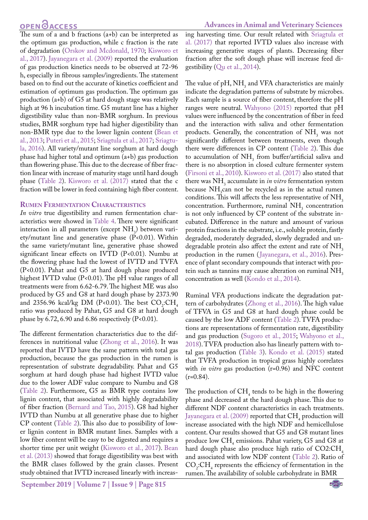# **OPEN**<sub>d</sub>

**Advances in Animal and Veterinary Sciences**

The sum of a and b fractions (a+b) can be interpreted as the optimum gas production, while c fraction is the rate of degradation [\(Orskov and Mcdonald, 1970;](#page-7-8) [Kisworo et](#page-7-19) [al., 2017](#page-7-19)). Jayanegara et al. (2009) reported the evaluation of gas production kinetics needs to be observed at 72-96 h, especially in fibrous samples/ingredients. The statement based on to find out the accurate of kinetics coefficient and estimation of optimum gas production. The optimum gas production (a+b) of G5 at hard dough stage was relatively high at 96 h incubation time. G5 mutant line has a higher digestibility value than non-BMR sorghum. In previous studies, BMR sorghum type had higher digestibility than non-BMR type due to the lower lignin content ([Bean et](#page-7-12) [al., 2013](#page-7-12); [Puteri et al., 2015;](#page-7-10) [Sriagtula et al., 2017;](#page-8-0) [Sriagtu](#page-8-5)[la, 2016\)](#page-8-5). All variety/mutant line sorghum at hard dough phase had higher total and optimum (a+b) gas production than flowering phase. This due to the decrease of fiber fraction linear with increase of maturity stage until hard dough phase ([Table 2](#page-4-1)). [Kisworo et al. \(2017\)](#page-7-19) stated that the c fraction will be lower in feed containing high fiber content.

#### **Rumen Fermentation Characteristics**

*In vitro* true digestibility and rumen fermentation characteristics were showed in [Table 4.](#page-6-1) There were significant interaction in all parameters (except  $NH<sub>3</sub>$ ) between variety/mutant line and generative phase (P<0.01). Within the same variety/mutant line, generative phase showed significant linear effects on IVTD (P<0.01). Numbu at the flowering phase had the lowest of IVTD and TVFA (P<0.01). Pahat and G5 at hard dough phase produced highest IVTD value (P<0.01). The pH value ranges of all treatments were from 6.62-6.79. The highest ME was also produced by G5 and G8 at hard dough phase by 2373.90 and 2356.96 kcal/kg DM (P<0.01). The best  $CO_2$ :CH<sub>4</sub> ratio was produced by Pahat, G5 and G8 at hard dough phase by  $6.72$ ,  $6.90$  and  $6.86$  respectively (P<0.01).

The different fermentation characteristics due to the differences in nutritional value ([Zhong et al., 2016\)](#page-8-13). It was reported that IVTD have the same pattern with total gas production, because the gas production in the rumen is representation of substrate degradability. Pahat and G5 sorghum at hard dough phase had highest IVTD value due to the lower ADF value compare to Numbu and G8 [\(Table 2](#page-4-1)). Furthermore, G5 as BMR type contains low lignin content, that associated with highly degradability of fiber fraction ([Bernard and Tao, 2015](#page-7-20)). G8 had higher IVTD than Numbu at all generative phase due to higher CP content [\(Table 2\)](#page-4-1). This also due to possibility of lower lignin content in BMR mutant lines. Samples with a low fiber content will be easy to be digested and requires a shorter time per unit weight ([Kisworo et al., 2017](#page-7-19)). [Bean](#page-7-12) [et al. \(2013\)](#page-7-12) showed that forage digestibility was best with the BMR clases followed by the grain classes. Present study obtained that IVTD increased linearly with increas-

**September 2019 | Volume 7 | Issue 9 | Page 815**

ing harvesting time. Our result related with [Sriagtula et](#page-8-0)  [al. \(2017\)](#page-8-0) that reported IVTD values also increase with increasing generative stages of plants. Decreasing fiber fraction after the soft dough phase will increase feed digestibility ([Qu et al., 2014](#page-7-14)).

The value of  $pH$ ,  $NH_3$  and VFA characteristics are mainly indicate the degradation patterns of substrate by microbes. Each sample is a source of fiber content, therefore the pH ranges were neutral. [Wahyono \(2015\)](#page-8-4) reported that pH values were influenced by the concentration of fiber in feed and the interaction with saliva and other fermentation products. Generally, the concentration of  $NH<sub>3</sub>$  was not significantly different between treatments, even though there were differences in CP content [\(Table 2](#page-4-1)). This due to accumulation of  $NH<sub>3</sub>$  from buffer/artificial saliva and there is no absorption in closed culture fermenter system ([Firsoni et al., 2010](#page-7-21)). [Kisworo et al. \(2017\)](#page-7-19) also stated that there was NH<sub>3</sub> accumulate in *in vitro* fermentation system because  $NH<sub>3</sub>$ can not be recycled as in the actual rumen conditions. This will affects the less representative of  $NH<sub>3</sub>$ concentration. Furthermore, ruminal  $NH<sub>3</sub>$  concentration is not only influenced by CP content of the substrate incubated. Difference in the nature and amount of various protein fractions in the substrate, i.e., soluble protein, fastly degraded, moderately degraded, slowly degraded and undegradable protein also affect the extent and rate of NH<sub>3</sub> production in the rumen ([Jayanegara, et al., 2016](#page-7-22)). Presence of plant secondary compounds that interact with protein such as tannins may cause alteration on ruminal NH<sub>3</sub> concentration as well [\(Kondo et al., 2014](#page-7-23)).

Ruminal VFA productions indicate the degradation pattern of carbohydrates [\(Zhong et al., 2016](#page-8-13)). The high value of TFVA in G5 and G8 at hard dough phase could be caused by the low ADF content [\(Table 2](#page-4-1)). TVFA productions are representations of fermentation rate, digestibility and gas production ([Sugoro et al., 2015](#page-8-6); [Wahyono et al.,](#page-8-14)  [2018](#page-8-14)). TVFA production also has linearly pattern with total gas production [\(Table 3\)](#page-6-0). [Kondo et al. \(2015\)](#page-7-5) stated that TVFA production in tropical grass highly correlates with *in vitro* gas production (r=0.96) and NFC content  $(r=0.84)$ .

The production of  $CH_4$  tends to be high in the flowering phase and decreased at the hard dough phase. This due to different NDF content characteristics in each treatments. [Jayanegara et al. \(2009\) r](#page-7-18)eported that  $CH_4$  production will increase associated with the high NDF and hemicellulose content. Our results showed that G5 and G8 mutant lines produce low  $CH<sub>4</sub>$  emissions. Pahat variety, G5 and G8 at hard dough phase also produce high ratio of  $CO2:CH<sub>4</sub>$ and associated with low NDF content ([Table 2](#page-4-1)). Ratio of  $CO<sub>2</sub>:CH<sub>4</sub>$  represents the efficiency of fermentation in the rumen. The availability of soluble carbohydrate in BMR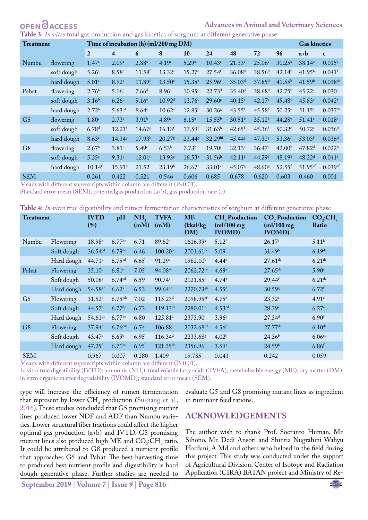# **OPEN OACCESS**

#### **Advances in Animal and Veterinary Sciences**

<span id="page-6-0"></span>**Table 3:** *In vitro* total gas production and gas kinetics of sorghum at different generative phase

| <b>Treatment</b> |            | Time of incubation (h) (ml/200 mg DM) |                         |                      |                      |                      |                      |                      | <b>Gas kinetics</b>  |                      |                       |                      |
|------------------|------------|---------------------------------------|-------------------------|----------------------|----------------------|----------------------|----------------------|----------------------|----------------------|----------------------|-----------------------|----------------------|
|                  |            | $\overline{2}$                        | $\overline{\mathbf{4}}$ | 6                    | 8                    | 10                   | 24                   | 48                   | 72                   | 96                   | a+b                   | $\mathbf c$          |
| Numbu            | flowering  | 1.47 <sup>a</sup>                     | 2.09a                   | $2.88^{a}$           | 4.19 <sup>a</sup>    | 5.29a                | $10.43^a$            | $21.33^a$            | $25.06^{\circ}$      | $30.25^{\circ}$      | 38.14 <sup>a</sup>    | $0.015^{\circ}$      |
|                  | soft dough | 5.26 <sup>c</sup>                     | 8.58 <sup>e</sup>       | $11.58$ <sup>f</sup> | $13.32^{\circ}$      | $15.27^{\circ}$      | $27.54$ <sup>f</sup> | 36.08 <sup>d</sup>   | 38.56 <sup>d</sup>   | 42.14 <sup>b</sup>   | 41.95 <sup>b</sup>    | $0.041$ <sup>f</sup> |
|                  | hard dough | 5.01 <sup>c</sup>                     | 8.92 <sup>e</sup>       | 11.89f               | $13.50^{\circ}$      | $15.38^{\circ}$      | $25.96^{\circ}$      | 35.03 <sup>d</sup>   | $37.85$ <sup>d</sup> | 41.55 <sup>b</sup>   | 41.59 <sup>b</sup>    | $0.038^{de}$         |
| Pahat            | flowering  | 2.76 <sup>b</sup>                     | 5.16 <sup>c</sup>       | 7.66 <sup>d</sup>    | 8.96c                | 10.95c               | 22.73 <sup>d</sup>   | 35.40 <sup>d</sup>   | 38.68 <sup>d</sup>   | 42.75 <sup>b</sup>   | 45.22c                | 0.030c               |
|                  | soft dough | 3.16 <sup>b</sup>                     | 6.26 <sup>d</sup>       | 9.16 <sup>e</sup>    | 10.92 <sup>d</sup>   | 13.76 <sup>d</sup>   | $29.60$ g            | $40.15^{\circ}$      | $42.17$ <sup>e</sup> | 45.48 <sup>c</sup>   | 45.83c                | $0.042$ <sup>f</sup> |
|                  | hard dough | 2.72 <sup>b</sup>                     | 5.63 <sup>cd</sup>      | 8.64 <sup>e</sup>    | 10.62 <sup>cd</sup>  | 12.85 <sup>d</sup>   | $30.26$ g            | $43.55$ <sup>f</sup> | 45.58f               | $50.25$ <sup>e</sup> | $51.15^{\circ}$       | $0.037$ de           |
| G <sub>5</sub>   | flowering  | $1.80^{\mathrm{a}}$                   | $2.73^{\circ}$          | 3.91 <sup>b</sup>    | 4.89a                | 6.18a                | $15.55^{b}$          | 30.51 <sup>b</sup>   | 35.12 <sup>b</sup>   | 44.28c               | $51.41^{\circ}$       | $0.018$ <sup>a</sup> |
|                  | soft dough | 6.78 <sup>d</sup>                     | $12.21$ <sup>f</sup>    | 14.67 <sup>g</sup>   | 16.13 <sup>f</sup>   | $17.59$ <sup>f</sup> | $31.63^h$            | $42.65$ <sup>f</sup> | 45.36 <sup>f</sup>   | $50.32^{\circ}$      | $50.72^{\circ}$       | 0.036 <sup>d</sup>   |
|                  | hard dough | 8.63 <sup>e</sup>                     | 14.34 <sup>g</sup>      | 17.93 <sup>h</sup>   | $20.27$ <sup>g</sup> | 23.44 <sup>g</sup>   | 32.29hi              | 45.44 %              | 47.32 <sup>g</sup>   | 53.36 <sup>f</sup>   | 53.03 <sup>f</sup>    | 0.036 <sup>d</sup>   |
| G <sub>8</sub>   | flowering  | 2.67 <sup>b</sup>                     | $3.81^{b}$              | 5.49 <sup>c</sup>    | 6.53 <sup>b</sup>    | 7.73 <sup>b</sup>    | 19.70c               | $32.13^{\circ}$      | $36.47^{\circ}$      | 42.00 <sup>b</sup>   | 47.82 <sup>d</sup>    | 0.022 <sup>b</sup>   |
|                  | soft dough | 5.25c                                 | 9.31 <sup>e</sup>       | $12.01$ <sup>f</sup> | $13.93^e$            | 16.53 <sup>e</sup>   | 31.56 <sup>h</sup>   | $42.11$ <sup>f</sup> | $44.29$ <sup>f</sup> | 48.19 <sup>d</sup>   | $48.22^{\rm d}$       | $0.041$ <sup>f</sup> |
|                  | hard dough | $10.14$ <sup>f</sup>                  | $15.91^h$               | $21.52^{\rm i}$      | 23.19 <sup>h</sup>   | 26.67 <sup>h</sup>   | $33.01^{\rm i}$      | 45.07g               | 48.60 <sup>g</sup>   | $52.55$ <sup>f</sup> | $51.95$ <sup>ef</sup> | $0.039$ ef           |
| <b>SEM</b>       |            | 0.261                                 | 0.422                   | 0.521                | 0.546                | 0.606                | 0.685                | 0.678                | 0.620                | 0.603                | 0.460                 | 0.001                |

Means with different superscripts within column are different (P<0.01).

Standard error mean (SEM); potentialgas production (a+b); gas production rate (c).

<span id="page-6-1"></span>

|  | Table 4: In vitro true digestibility and rumen fermentation characteristics of sorghum at different generative phase |  |  |
|--|----------------------------------------------------------------------------------------------------------------------|--|--|
|--|----------------------------------------------------------------------------------------------------------------------|--|--|

| <b>Treatment</b> |            | <b>IVTD</b><br>(%)    | pH                    | NH <sub>2</sub><br>(mM) | <b>TVFA</b><br>(mM)  | <b>ME</b><br>(kkal/kg)<br>DM) | <b>CH</b> , Production<br>$(ml/100$ mg<br><b>IVOMD</b> ) | CO <sub>2</sub> Production<br>$(ml/100$ mg<br><b>IVOMD</b> ) | CO, CH<br>Ratio     |
|------------------|------------|-----------------------|-----------------------|-------------------------|----------------------|-------------------------------|----------------------------------------------------------|--------------------------------------------------------------|---------------------|
| Numbu            | Flowering  | $18.98$ <sup>a</sup>  | $6.77$ de             | 6.71                    | 89.62 <sup>a</sup>   | 1616.39a                      | $5.12$ <sup>f</sup>                                      | 26.17c                                                       | $5.11^{b}$          |
|                  | Soft dough | $36.54$ <sup>cd</sup> | $6.79$ de             | 6.46                    | $100.20^{bc}$        | $2001.61^{bc}$                | 5.09 <sup>f</sup>                                        | 31.49 <sup>h</sup>                                           | $6.19$ de           |
|                  | Hard dough | 44.71 <sup>e</sup>    | 6.75 <sup>cd</sup>    | 6.65                    | 91.29a               | 1982.10 <sup>b</sup>          | 4.44 <sup>c</sup>                                        | $27.61^{\text{de}}$                                          | $6.21$ de           |
| Pahat            | Flowering  | $35.10^{\circ}$       | 6.81 <sup>e</sup>     | 7.05                    | 94.08 <sup>ab</sup>  | 2062.72 <sup>de</sup>         | 4.69 <sup>e</sup>                                        | $27.65^{\text{de}}$                                          | 5.90c               |
|                  | Soft dough | 50.08g                | 6.74 <sup>cd</sup>    | 6.59                    | 90.74a               | 2121.85f                      | 4.74 <sup>e</sup>                                        | $29.44$ <sup>f</sup>                                         | $6.21$ de           |
|                  | Hard dough | 54.58sh               | $6.62^{\circ}$        | 6.53                    | $99.64^{bc}$         | $2270.73$ <sup>gh</sup>       | $4.55^{\rm d}$                                           | $30.59$ <sup>g</sup>                                         | $6.72$ <sup>f</sup> |
| G <sub>5</sub>   | Flowering  | $31.52^{b}$           | $6.75$ cde            | 7.02                    | 115.23 <sup>d</sup>  | 2098.95 <sup>ef</sup>         | 4.75 <sup>e</sup>                                        | $23.32^a$                                                    | $4.91^{\circ}$      |
|                  | Soft dough | 44.57 <sup>e</sup>    | $6.77$ de             | 6.73                    | $119.13^{\text{de}}$ | $2280.01^h$                   | 4.53 <sup>cd</sup>                                       | 28.39 <sup>e</sup>                                           | 6.27 <sup>e</sup>   |
|                  | Hard dough | $54.61$ <sup>gh</sup> | $6.77$ de             | 6.80                    | 125.81 <sup>e</sup>  | 2373.90 <sup>i</sup>          | 3.96 <sup>b</sup>                                        | 27.34 <sup>d</sup>                                           | 6.90 <sup>f</sup>   |
| G <sub>8</sub>   | Flowering  | 37.94 <sup>d</sup>    | $6.76$ <sup>cde</sup> | 6.74                    | 106.88c              | 2032.68 <sup>cd</sup>         | 4.56 <sup>d</sup>                                        | $27.77$ <sup>de</sup>                                        | 6.10 <sup>de</sup>  |
|                  | Soft dough | $43.47^{\circ}$       | 6.69 <sup>b</sup>     | 6.95                    | 116.34 <sup>d</sup>  | 2233.68g                      | 4.02 <sup>b</sup>                                        | 24.36 <sup>b</sup>                                           | 6.06 <sup>cd</sup>  |
|                  | Hard dough | $47.25$ f             | $6.71$ bc             | 6.95                    | $121.35^{\text{de}}$ | 2356.96 <sup>i</sup>          | 3.59a                                                    | 24.59 <sup>b</sup>                                           | $6.86$ f            |
| <b>SEM</b>       |            | 0.967                 | 0.007                 | 0.280                   | 1.409                | 19.785                        | 0.043                                                    | 0.242                                                        | 0.059               |

Means with different superscripts within column are different (P<0.01).

In vitro true digestibility (IVTD); ammonia (NH<sub>3</sub>); total volatile fatty acids (TVFA); metabolisable energy (ME); dry matter (DM); in vitro organic matter degradability (IVOMD); standard error mean (SEM).

type will increase the efficiency of rumen fermentation that represent by lower  $CH_4$  production ([Su-jiang et al.,](#page-8-2) [2016\)](#page-8-2). These studies concluded that G5 promising mutant lines produced lower NDF and ADF than Numbu varieties. Lower structural fiber fractions could affect the higher optimal gas production (a+b) and IVTD. G8 promising mutant lines also produced high ME and  $CO_2$ :CH<sub>4</sub> ratio. It could be attributed to G8 produced a nutrient profile that approaches G5 and Pahat. The best harvesting time to produced best nutrient profile and digestibility is hard dough generative phase. Further studies are needed to

evaluate G5 and G8 promising mutant lines as ingredient in ruminant feed rations.

#### **ACKNOWLEDGEMENTS**

The author wish to thank Prof. Soeranto Human, Mr. Sihono, Mr. Dedi Ansori and Shintia Nugrahini Wahyu Hardani, A.Md and others who helped in the field during this project. This study was conducted under the support of Agricultural Division, Center of Isotope and Radiation Application (CIRA) BATAN project and Ministry of Re-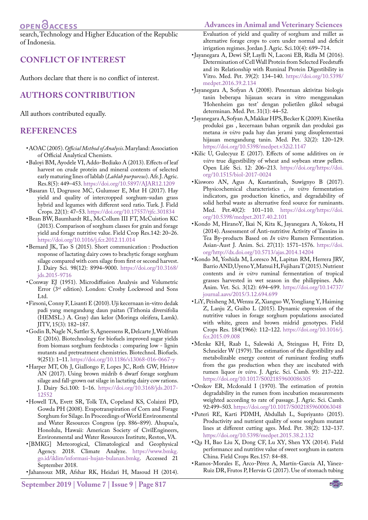# OPEN **OACCESS**

search, Technology and Higher Education of the Republic of Indonesia.

### **CONFLICT OF INTEREST**

Authors declare that there is no conflict of interest.

### **AUTHORS CONTRIBUTION**

All authors contributed equally.

### **REFERENCES**

- <span id="page-7-4"></span>• AOAC (2005). *Official Method of Analysis*. Maryland: Association of Official Analytical Chemists.
- <span id="page-7-13"></span>• Baloyi BM, Ayodele VI, Addo-Bediako A (2013). Effects of leaf harvest on crude protein and mineral contents of selected early maturing lines of lablab (*Lablab purpureus*). Afr. J. Agric. Res.8(5): 449–453. [https://doi.org/10.5897/AJAR12.1209](https://doi.org/10.5897/AJAR12.1209 )
- <span id="page-7-15"></span>• Basaran U, Dogrusoz MC, Gulumser E, Mut H (2017). Hay yield and quality of intercropped sorghum-sudan grass hybrid and legumes with different seed ratio. Turk. J. Field Crops. 22(1): 47–53. [https://doi.org/10.17557/tjfc.301834](https://doi.org/10.17557/tjfc.301834 )
- <span id="page-7-12"></span>• Bean BW, Baumhardt RL, McCollum III FT, McCuistion KC (2013). Comparison of sorghum classes for grain and forage yield and forage nutritive value. Field Crop Res.142: 20–26. [https://doi.org/10.1016/j.fcr.2012.11.014](https://doi.org/10.1016/j.fcr.2012.11.014 )
- <span id="page-7-20"></span>• Bernard JK, Tao S (2015). Short communication : Production response of lactating dairy cows to brachytic forage sorghum silage compared with corn silage from first or second harvest. J. Dairy Sci. 98(12): 8994–9000. [https://doi.org/10.3168/](https://doi.org/10.3168/jds.2015-9716 ) [jds.2015-9716](https://doi.org/10.3168/jds.2015-9716 )
- <span id="page-7-9"></span>• Conway EJ (1951). Microdiffusion Analysis and Volumetric Error (3rd edition). London: Crosby Lockwood and Sons Ltd.
- <span id="page-7-21"></span>• Firsoni, Conny F, Lisanti E (2010). Uji kecernaan in-vitro dedak padi yang mengandung daun paitan (Tithonia diversifolia (HEMSL.) A. Gray) dan kelor (Moringa oleifera, Lamk). JITV, 15(3): 182–187.
- <span id="page-7-11"></span>• Godin B, Nagle N, Sattler S, Agneessens R, Delcarte J, Wolfrum E (2016). Biotechnology for biofuels improved sugar yields from biomass sorghum feedstocks : comparing low - lignin mutants and pretreatment chemistries. Biotechnol. Biofuels. 9(251): 1–11. [https://doi.org/10.1186/s13068-016-0667-y](https://doi.org/10.1186/s13068-016-0667-y )
- <span id="page-7-2"></span>• Harper MT, Oh J, Giallongo F, Lopes JC, Roth GW, Hristov AN (2017). Using brown midrib 6 dwarf forage sorghum silage and fall-grown oat silage in lactating dairy cow rations. J. Dairy Sci.100: 1–16. [https://doi.org/10.3168/jds.2017-](https://doi.org/10.3168/jds.2017-12552 ) [12552](https://doi.org/10.3168/jds.2017-12552 )
- <span id="page-7-0"></span>• Howell TA, Evett SR, Tolk TA, Copeland KS, Colaizzi PD, Gowda PH (2008). Evapotranspiration of Corn and Forage Sorghum for Silage. In Proceedings of World Environmental and Water Resources Congress (pp. 886–899). Ahupua'a, Honolulu, Hawaii: American Society of CivilEngineers, Environmental and Water Resources Institute, Reston, VA.
- <span id="page-7-3"></span>• [BMKG] Meteorogical, Climatological and Geophysical Agency. 2018. Climate Analyze. [https://www.bmkg.](https://www.bmkg.go.id/iklim/informasi-hujan-bulanan.bmkg) [go.id/iklim/informasi-hujan-bulanan.bmkg.](https://www.bmkg.go.id/iklim/informasi-hujan-bulanan.bmkg) Accessed 21 September 2018.
- <span id="page-7-16"></span>• Jahansouz MR, Afshar RK, Heidari H, Masoud H (2014).

**September 2019 | Volume 7 | Issue 9 | Page 817**

Evaluation of yield and quality of sorghum and millet as alternative forage crops to corn under normal and deficit irrigation regimes. Jordan J. Agric. Sci.10(4): 699–714.

- <span id="page-7-22"></span>• Jayanegara A, Dewi SP, Laylli N, Laconi EB, Ridla M (2016). Determination of Cell Wall Protein from Selected Feedstuffs and its Relationship with Ruminal Protein Digestibility in Vitro. Med. Pet. 39(2): 134–140. [https://doi.org/10.5398/](https://doi.org/10.5398/medpet.2016.39.2.134 ) [medpet.2016.39.2.134](https://doi.org/10.5398/medpet.2016.39.2.134 )
- <span id="page-7-17"></span>• Jayanegara A, Sofyan A (2008). Penentuan aktivitas biologis tanin beberapa hijauan secara in vitro menggunakan 'Hohenheim gas test' dengan polietilen glikol sebagai determinan. Med. Pet. 31(1): 44–52.
- <span id="page-7-18"></span>• Jayanegara A, Sofyan A, Makkar HPS, Becker K (2009). Kinetika produksi gas , kecernaan bahan organik dan produksi gas metana *in vitro* pada hay dan jerami yang disuplementasi hijauan mengandung tanin. Med. Pet. 32(2): 120–129. [https://doi.org/10.5398/medpet.v32i2.1147](https://doi.org/10.5398/medpet.v32i2.1147 )
- <span id="page-7-6"></span>• Kilic U, Gulecyuz E (2017). Effects of some additives on *in vitro* true digestibility of wheat and soybean straw pellets. Open Life Sci. 12: 206–213. [https://doi.org/https://doi.](https://doi.org/https://doi.org/10.1515/biol-2017-0024 ) [org/10.1515/biol-2017-0024](https://doi.org/https://doi.org/10.1515/biol-2017-0024 )
- <span id="page-7-19"></span>• Kisworo AN, Agus A, Kustantinah, Suwignyo B (2017). Physicochemical characteristics , *in vitro* fermentation indicators, gas production kinetics, and degradability of solid herbal waste as alternative feed source for ruminants. Med. Pet.40(2): 101–110. [https://doi.org/https://doi.](https://doi.org/https://doi.org/10.5398/medpet.2017.40.2.101 ) [org/10.5398/medpet.2017.40.2.101](https://doi.org/https://doi.org/10.5398/medpet.2017.40.2.101 )
- <span id="page-7-23"></span>• Kondo M, HiranoY, Ikai N, Kita K, Jayanegara A, Yokota, H (2014). Assessment of Anti-nutritive Activity of Tannins in Tea By-products Based on *In vitro* Rumen Fermentation. Asian-Aust J. Anim. Sci. 27(11): 1571–1576[. https://doi.]( https://doi.org/http://dx.doi.org/10.5713/ajas.2014.14204 ) [org/http://dx.doi.org/10.5713/ajas.2014.14204]( https://doi.org/http://dx.doi.org/10.5713/ajas.2014.14204 )
- <span id="page-7-5"></span>• Kondo M, Yoshida M, Loresco M, Lapitan RM, Herrera JRV, Barrio AND, Uyeno Y, Matsui H, Fujihara T (2015). Nutrient contents and *in vitro* ruminal fermentation of tropical grasses harvested in wet season in the philippines. Adv. Anim. Vet. Sci. 3(12): 694–699. [https://doi.org/10.14737/](https://doi.org/10.14737/journal.aavs/2015/3.12.694.699) [journal.aavs/2015/3.12.694.699](https://doi.org/10.14737/journal.aavs/2015/3.12.694.699)
- <span id="page-7-1"></span>• LiY, Peisheng M, Wenxu Z, Xianguo W, Yongliang Y, Haiming Z, Lanju Z, Guibo L (2015). Dynamic expression of the nutritive values in forage sorghum populations associated with white, green and brown midrid genotypes. Field Crops Res. 184(1966): 112–122. [https://doi.org/10.1016/j.](https://doi.org/10.1016/j.fcr.2015.09.008 ) [fcr.2015.09.008](https://doi.org/10.1016/j.fcr.2015.09.008 )
- <span id="page-7-7"></span>• Menke KH, Raab L, Salewski A, Steingass H, Fritz D, Schneider W (1979). The estimation of the digestibility and metabolizable energy content of ruminant feeding stuffs from the gas production when they are incubated with rumen liquor *in vitro*. J. Agric. Sci. Camb. 93: 217–222. [https://doi.org/10.1017/S0021859600086305](https://doi.org/10.1017/S0021859600086305 )
- <span id="page-7-8"></span>• Orskov ER, Mcdonald I (1970). The estimation of protein degradability in the rumen from incubation measurements weighted according to rate of passage. J. Agric. Sci. Camb. 92:499–503[. https://doi.org/10.1017/S0021859600063048]( https://doi.org/10.1017/S0021859600063048 )
- <span id="page-7-10"></span>• Puteri RE, Karti PDMH, Abdullah L, Supriyanto (2015). Productivity and nutrient quality of some sorghum mutant lines at different cutting ages. Med. Pet. 38(2): 132–137. [https://doi.org/10.5398/medpet.2015.38.2.132](https://doi.org/10.5398/medpet.2015.38.2.132 )
- <span id="page-7-14"></span>• Qu H, Bao Liu X, Dong CF, Lu XY, Shen YX (2014). Field performance and nutritive value of sweet sorghum in eastern China. Field Crops Res.157: 84–88.
- • Ramos-Morales E, Arco-Pérez A, Martín-García AI, Yánez-Ruiz DR, Frutos P, Hervás G (2017). Use of stomach tubing